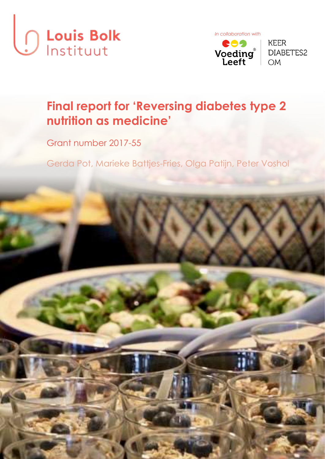





# **Final report for 'Reversing diabetes type 2 nutrition as medicine'**

Grant number 2017-55

Gerda Pot, Marieke Battjes-Fries, Olga Patijn, Peter Voshol

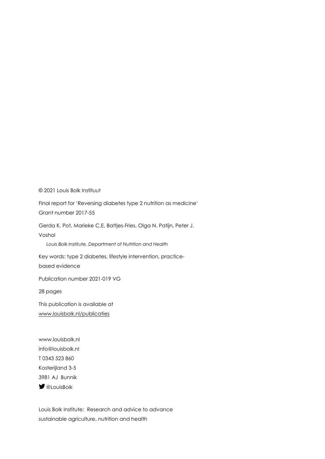© 2021 Louis Bolk Instituut

Final report for 'Reversing diabetes type 2 nutrition as medicine' Grant number 2017-55

Gerda K. Pot, Marieke C.E. Battjes-Fries, Olga N. Patijn, Peter J. Voshol

*Louis Bolk Institute, Department of Nutrition and Health* 

Key words: type 2 diabetes, lifestyle intervention, practicebased evidence

Publication number 2021-019 VG

28 pages

This publication is available at [www.louisbolk.nl/publicaties](http://www.louisbolk.nl/publicaties)

www.louisbolk.nl info@louisbolk.nl T 0343 523 860 Kosterijland 3-5 3981 AJ Bunnik *<u>D</u>* @LouisBolk

Louis Bolk Institute: Research and advice to advance sustainable agriculture, nutrition and health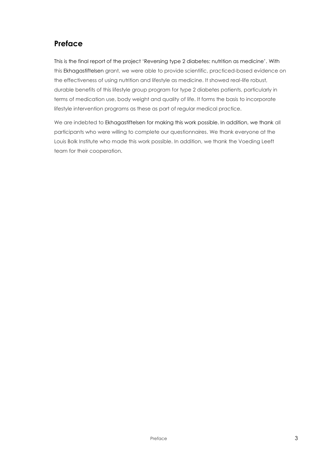# **Preface**

This is the final report of the project 'Reversing type 2 diabetes: nutrition as medicine'. With this Ekhagastiftelsen grant, we were able to provide scientific, practiced-based evidence on the effectiveness of using nutrition and lifestyle as medicine. It showed real-life robust, durable benefits of this lifestyle group program for type 2 diabetes patients, particularly in terms of medication use, body weight and quality of life. It forms the basis to incorporate lifestyle intervention programs as these as part of regular medical practice.

We are indebted to Ekhagastiftelsen for making this work possible. In addition, we thank all participants who were willing to complete our questionnaires. We thank everyone at the Louis Bolk Institute who made this work possible. In addition, we thank the Voeding Leeft team for their cooperation.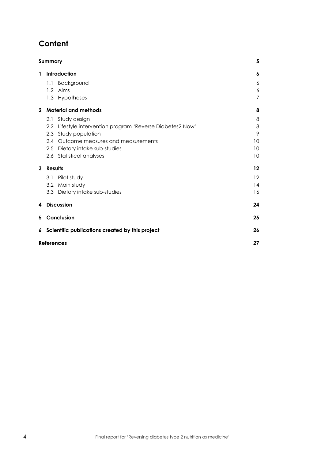# **Content**

|              | Summary                                                    | 5       |
|--------------|------------------------------------------------------------|---------|
| 1            | Introduction                                               | 6       |
|              | Background<br>1.1                                          | 6       |
|              | 1.2 Aims                                                   | 6       |
|              | 1.3 Hypotheses                                             | 7       |
| $\mathbf{2}$ | <b>Material and methods</b>                                | 8       |
|              | Study design<br>2.1                                        | 8       |
|              | 2.2 Lifestyle intervention program 'Reverse Diabetes2 Now' | 8       |
|              | 2.3 Study population                                       | 9       |
|              | 2.4 Outcome measures and measurements                      | 10      |
|              | 2.5 Dietary intake sub-studies                             | 10      |
|              | 2.6 Statistical analyses                                   | 10      |
| 3            | Results                                                    | $12 \,$ |
|              | Pilot study<br>3.1                                         | $12 \,$ |
|              | 3.2 Main study                                             | 14      |
|              | 3.3 Dietary intake sub-studies                             | 16      |
| 4            | <b>Discussion</b>                                          | 24      |
| 5            | Conclusion                                                 | 25      |
| 6            | Scientific publications created by this project            | 26      |
|              | <b>References</b>                                          | 27      |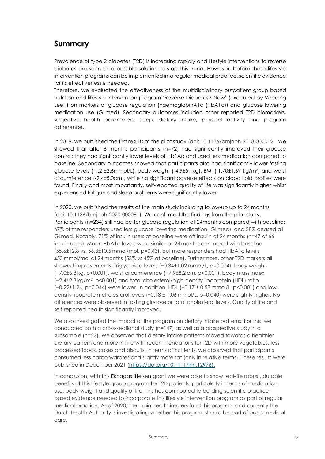# <span id="page-4-0"></span>**Summary**

Prevalence of type 2 diabetes (T2D) is increasing rapidly and lifestyle interventions to reverse diabetes are seen as a possible solution to stop this trend. However, before these lifestyle intervention programs can be implemented into regular medical practice, scientific evidence for its effectiveness is needed.

Therefore, we evaluated the effectiveness of the multidisciplinary outpatient group-based nutrition and lifestyle intervention program 'Reverse Diabetes2 Now' (executed by Voeding Leeft) on markers of glucose regulation (haemoglobinA1c (HbA1c)) and glucose lowering medication use (GLmed). Secondary outcomes included other reported T2D biomarkers, subjective health parameters, sleep, dietary intake, physical activity and program adherence.

In 2019, we published the first results of the pilot study (doi: 10.1136/bmjnph-2018-000012*)*. We showed that after 6 months participants (n=72) had significantly improved their glucose control: they had significantly lower levels of Hb1Ac and used less medication compared to baseline. Secondary outcomes showed that participants also had significantly lower fasting glucose levels (-1.2 ±2.6mmol/L), body weight (-4.9±5.1kg), BMI (-1.70±1.69 kg/m2) and waist circumference (-9.4±5.0cm), while no significant adverse effects on blood lipid profiles were found. Finally and most importantly, self-reported quality of life was significantly higher whilst experienced fatigue and sleep problems were significantly lower.

In 2020, we published the results of the main study including follow-up up to 24 months (doi: 10.1136/bmjnph-2020-000081). We confirmed the findings from the pilot study. Participants (n=234) still had better glucose regulation at 24months compared with baseline: 67% of the responders used less glucose-lowering medication (GLmed), and 28% ceased all GLmed. Notably, 71% of insulin users at baseline were off insulin at 24 months (n=47 of 66 insulin users). Mean HbA1c levels were similar at 24 months compared with baseline (55.6±12.8 vs. 56.3±10.5 mmol/mol, p=0.43), but more responders had HbA1c levels ≤53 mmol/mol at 24 months (53% vs 45% at baseline). Furthermore, other T2D markers all showed improvements. Triglyceride levels (−0.34±1.02 mmol/L, p=0.004), body weight (−7.0±6.8 kg, p<0.001), waist circumference (−7.9±8.2 cm, p<0.001), body mass index (−2.4±2.3 kg/m<sup>2</sup> , p<0.001) and total cholesterol/high-density lipoprotein (HDL) ratio (−0.22±1.24, p=0.044) were lower. In addition, HDL (+0.17 ± 0.53 mmol/L, p<0.001) and lowdensity lipoprotein-cholesterol levels (+0.18 ± 1.06 mmol/L, p=0.040) were slightly higher. No differences were observed in fasting glucose or total cholesterol levels. Quality of life and self-reported health significantly improved.

We also investigated the impact of the program on dietary intake patterns. For this, we conducted both a cross-sectional study (n=147) as well as a prospective study in a subsample (n=22). We observed that dietary intake patterns moved towards a healthier dietary pattern and more in line with recommendations for T2D with more vegetables, less processed foods, cakes and biscuits. In terms of nutrients, we observed that participants consumed less carbohydrates and slightly more fat (only in relative terms). These results were published in December 2021 [\(https://doi.org/10.1111/jhn.12976\)](https://doi.org/10.1111/jhn.12976).

In conclusion, with this Ekhagastiftelsen grant we were able to show real-life robust, durable benefits of this lifestyle group program for T2D patients, particularly in terms of medication use, body weight and quality of life. This has contributed to building scientific practicebased evidence needed to incorporate this lifestyle intervention program as part of regular medical practice. As of 2020, the main health insurers fund this program and currently the Dutch Health Authority is investigating whether this program should be part of basic medical care.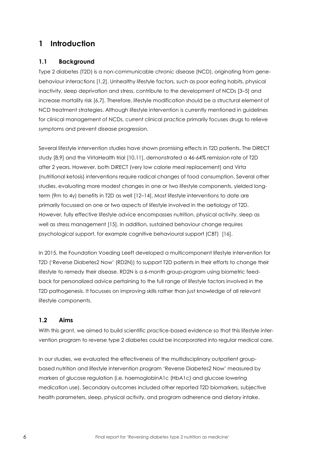### <span id="page-5-0"></span>**1 Introduction**

### <span id="page-5-1"></span>**1.1 Background**

Type 2 diabetes (T2D) is a non-communicable chronic disease (NCD), originating from genebehaviour interactions [1,2]. Unhealthy lifestyle factors, such as poor eating habits, physical inactivity, sleep deprivation and stress, contribute to the development of NCDs [3–5] and increase mortality risk [6,7]. Therefore, lifestyle modification should be a structural element of NCD treatment strategies. Although lifestyle intervention is currently mentioned in guidelines for clinical management of NCDs, current clinical practice primarily focuses drugs to relieve symptoms and prevent disease progression.

Several lifestyle intervention studies have shown promising effects in T2D patients. The DiRECT study [8,9] and the VirtaHealth trial [10,11], demonstrated a 46-64% remission rate of T2D after 2 years. However, both DiRECT (very low calorie meal replacement) and Virta (nutritional ketosis) interventions require radical changes of food consumption. Several other studies, evaluating more modest changes in one or two lifestyle components, yielded longterm (9m to 4y) benefits in T2D as well [12–14]. Most lifestyle interventions to date are primarily focussed on one or two aspects of lifestyle involved in the aetiology of T2D. However, fully effective lifestyle advice encompasses nutrition, physical activity, sleep as well as stress management [15]. In addition, sustained behaviour change requires psychological support, for example cognitive behavioural support (CBT) [16].

In 2015, the Foundation Voeding Leeft developed a multicomponent lifestyle intervention for T2D ('Reverse Diabetes2 Now' (RD2N)) to support T2D patients in their efforts to change their lifestyle to remedy their disease. RD2N is a 6-month group-program using biometric feedback for personalized advice pertaining to the full range of lifestyle factors involved in the T2D pathogenesis. It focusses on improving skills rather than just knowledge of all relevant lifestyle components.

### <span id="page-5-2"></span>**1.2 Aims**

With this grant, we aimed to build scientific practice-based evidence so that this lifestyle intervention program to reverse type 2 diabetes could be incorporated into regular medical care.

In our studies, we evaluated the effectiveness of the multidisciplinary outpatient groupbased nutrition and lifestyle intervention program 'Reverse Diabetes2 Now' measured by markers of glucose regulation (i.e. haemoglobinA1c (HbA1c) and glucose lowering medication use). Secondary outcomes included other reported T2D biomarkers, subjective health parameters, sleep, physical activity, and program adherence and dietary intake.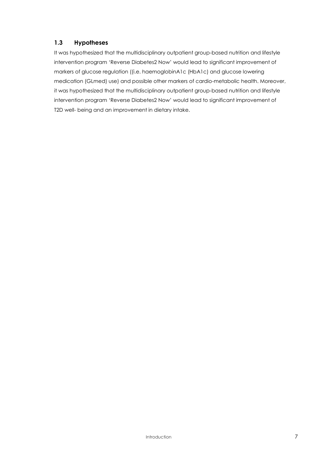### <span id="page-6-0"></span>**1.3 Hypotheses**

It was hypothesized that the multidisciplinary outpatient group-based nutrition and lifestyle intervention program 'Reverse Diabetes2 Now' would lead to significant improvement of markers of glucose regulation ((i.e. haemoglobinA1c (HbA1c) and glucose lowering medication (GLmed) use) and possible other markers of cardio-metabolic health. Moreover, it was hypothesized that the multidisciplinary outpatient group-based nutrition and lifestyle intervention program 'Reverse Diabetes2 Now' would lead to significant improvement of T2D well- being and an improvement in dietary intake.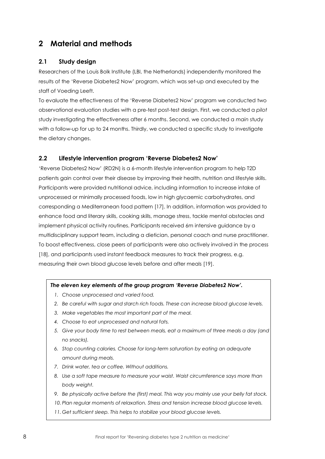# <span id="page-7-0"></span>**2 Material and methods**

### <span id="page-7-1"></span>**2.1 Study design**

Researchers of the Louis Bolk Institute (LBI, the Netherlands) independently monitored the results of the 'Reverse Diabetes2 Now' program, which was set-up and executed by the staff of Voeding Leeft.

To evaluate the effectiveness of the 'Reverse Diabetes2 Now' program we conducted two observational evaluation studies with a pre-test post-test design. First, we conducted a *pilot* study investigating the effectiveness after 6 months. Second, we conducted a *main* study with a follow-up for up to 24 months. Thirdly, we conducted a specific study to investigate the dietary changes.

### <span id="page-7-2"></span>**2.2 Lifestyle intervention program 'Reverse Diabetes2 Now'**

'Reverse Diabetes2 Now' (RD2N) is a 6-month lifestyle intervention program to help T2D patients gain control over their disease by improving their health, nutrition and lifestyle skills. Participants were provided nutritional advice, including information to increase intake of unprocessed or minimally processed foods, low in high glycaemic carbohydrates, and corresponding a Mediterranean food pattern [17]. In addition, information was provided to enhance food and literary skills, cooking skills, manage stress, tackle mental obstacles and implement physical activity routines. Participants received 6m intensive guidance by a multidisciplinary support team, including a dietician, personal coach and nurse practitioner. To boost effectiveness, close peers of participants were also actively involved in the process [18], and participants used instant feedback measures to track their progress, e.g. measuring their own blood glucose levels before and after meals [19].

#### *The eleven key elements of the group program 'Reverse Diabetes2 Now'.*

- *1. Choose unprocessed and varied food.*
- *2. Be careful with sugar and starch rich foods. These can increase blood glucose levels.*
- *3. Make vegetables the most important part of the meal.*
- *4. Choose to eat unprocessed and natural fats.*
- *5. Give your body time to rest between meals, eat a maximum of three meals a day (and no snacks).*
- *6. Stop counting calories. Choose for long-term saturation by eating an adequate amount during meals.*
- *7. Drink water, tea or coffee. Without additions.*
- *8. Use a soft tape measure to measure your waist. Waist circumference says more than body weight.*
- *9. Be physically active before the (first) meal. This way you mainly use your belly fat stock.*
- *10. Plan regular moments of relaxation. Stress and tension increase blood glucose levels.*
- *11. Get sufficient sleep. This helps to stabilize your blood glucose levels.*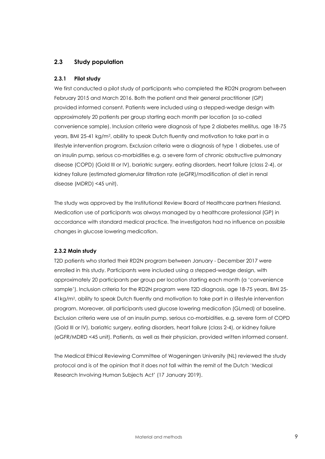#### <span id="page-8-0"></span>**2.3 Study population**

#### **2.3.1 Pilot study**

We first conducted a pilot study of participants who completed the RD2N program between February 2015 and March 2016. Both the patient and their general practitioner (GP) provided informed consent. Patients were included using a stepped-wedge design with approximately 20 patients per group starting each month per location (a so-called convenience sample). Inclusion criteria were diagnosis of type 2 diabetes mellitus, age 18-75 years, BMI 25-41 kg/m<sup>2</sup> , ability to speak Dutch fluently and motivation to take part in a lifestyle intervention program. Exclusion criteria were a diagnosis of type 1 diabetes, use of an insulin pump, serious co-morbidities e.g. a severe form of chronic obstructive pulmonary disease (COPD) (Gold III or IV), bariatric surgery, eating disorders, heart failure (class 2-4), or kidney failure (estimated glomerular filtration rate (eGFR)/modification of diet in renal disease (MDRD) <45 unit).

The study was approved by the Institutional Review Board of Healthcare partners Friesland. Medication use of participants was always managed by a healthcare professional (GP) in accordance with standard medical practice. The investigators had no influence on possible changes in glucose lowering medication.

#### **2.3.2 Main study**

T2D patients who started their RD2N program between January - December 2017 were enrolled in this study. Participants were included using a stepped-wedge design, with approximately 20 participants per group per location starting each month (a 'convenience sample'). Inclusion criteria for the RD2N program were T2D diagnosis, age 18-75 years, BMI 25- 41kg/m<sup>2</sup> , ability to speak Dutch fluently and motivation to take part in a lifestyle intervention program. Moreover, all participants used glucose lowering medication (GLmed) at baseline. Exclusion criteria were use of an insulin pump, serious co-morbidities, e.g. severe form of COPD (Gold III or IV), bariatric surgery, eating disorders, heart failure (class 2-4), or kidney failure (eGFR/MDRD <45 unit). Patients, as well as their physician, provided written informed consent.

The Medical Ethical Reviewing Committee of Wageningen University (NL) reviewed the study protocol and is of the opinion that it does not fall within the remit of the Dutch 'Medical Research Involving Human Subjects Act' (17 January 2019).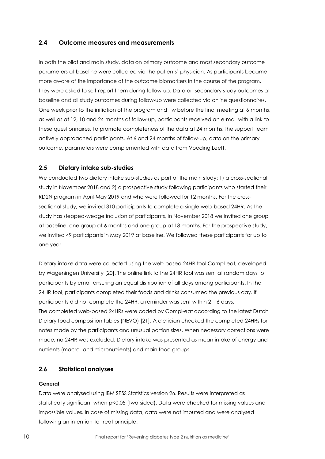#### <span id="page-9-0"></span>**2.4 Outcome measures and measurements**

In both the pilot and main study, data on primary outcome and most secondary outcome parameters at baseline were collected via the patients' physician. As participants became more aware of the importance of the outcome biomarkers in the course of the program, they were asked to self-report them during follow-up. Data on secondary study outcomes at baseline and all study outcomes during follow-up were collected via online questionnaires. One week prior to the initiation of the program and 1w before the final meeting at 6 months, as well as at 12, 18 and 24 months of follow-up, participants received an e-mail with a link to these questionnaires. To promote completeness of the data at 24 months, the support team actively approached participants. At 6 and 24 months of follow-up, data on the primary outcome, parameters were complemented with data from Voeding Leeft.

#### <span id="page-9-1"></span>**2.5 Dietary intake sub-studies**

We conducted two dietary intake sub-studies as part of the main study: 1) a cross-sectional study in November 2018 and 2) a prospective study following participants who started their RD2N program in April-May 2019 and who were followed for 12 months. For the crosssectional study, we invited 310 participants to complete a single web-based 24HR. As the study has stepped-wedge inclusion of participants, in November 2018 we invited one group at baseline, one group at 6 months and one group at 18 months. For the prospective study, we invited 49 participants in May 2019 at baseline. We followed these participants for up to one year.

Dietary intake data were collected using the web-based 24HR tool Compl-eat, developed by Wageningen University [20]. The online link to the 24HR tool was sent at random days to participants by email ensuring an equal distribution of all days among participants. In the 24HR tool, participants completed their foods and drinks consumed the previous day. If participants did not complete the 24HR, a reminder was sent within 2 – 6 days. The completed web-based 24HRs were coded by Compl-eat according to the latest Dutch Dietary food composition tables (NEVO) [21]. A dietician checked the completed 24HRs for notes made by the participants and unusual portion sizes. When necessary corrections were made, no 24HR was excluded. Dietary intake was presented as mean intake of energy and nutrients (macro- and micronutrients) and main food groups.

### <span id="page-9-2"></span>**2.6 Statistical analyses**

#### **General**

Data were analysed using IBM SPSS Statistics version 26. Results were interpreted as statistically significant when p<0.05 (two-sided). Data were checked for missing values and impossible values. In case of missing data, data were not imputed and were analysed following an intention-to-treat principle.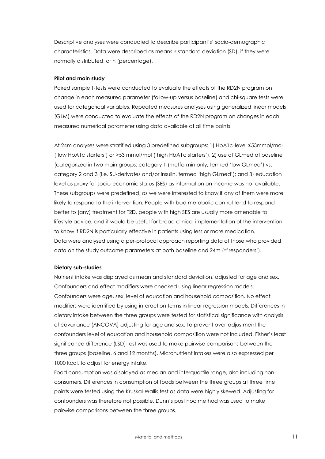Descriptive analyses were conducted to describe participant's' socio-demographic characteristics. Data were described as means ± standard deviation (SD), if they were normally distributed, or n (percentage).

#### **Pilot and main study**

Paired sample T-tests were conducted to evaluate the effects of the RD2N program on change in each measured parameter (follow-up versus baseline) and chi-square tests were used for categorical variables. Repeated measures analyses using generalized linear models (GLM) were conducted to evaluate the effects of the RD2N program on changes in each measured numerical parameter using data available at all time points.

At 24m analyses were stratified using 3 predefined subgroups: 1) HbA1c-level ≤53mmol/mol ('low HbA1c starters') or >53 mmol/mol ('high HbA1c starters'), 2) use of GLmed at baseline (categorized in two main groups: category 1 (metformin only, termed 'low GLmed') vs. category 2 and 3 (i.e. SU-derivates and/or insulin, termed 'high GLmed'); and 3) education level as proxy for socio-economic status (SES) as information on income was not available. These subgroups were predefined, as we were interested to know if any of them were more likely to respond to the intervention. People with bad metabolic control tend to respond better to (any) treatment for T2D, people with high SES are usually more amenable to lifestyle advice, and it would be useful for broad clinical implementation of the intervention to know if RD2N is particularly effective in patients using less or more medication. Data were analysed using a per-protocol approach reporting data of those who provided data on the study outcome parameters at both baseline and 24m (='responders').

#### **Dietary sub-studies**

Nutrient intake was displayed as mean and standard deviation, adjusted for age and sex. Confounders and effect modifiers were checked using linear regression models. Confounders were age, sex, level of education and household composition. No effect modifiers were identified by using interaction terms in linear regression models. Differences in dietary intake between the three groups were tested for statistical significance with analysis of covariance (ANCOVA) adjusting for age and sex. To prevent over-adjustment the confounders level of education and household composition were not included. Fisher's least significance difference (LSD) test was used to make pairwise comparisons between the three groups (baseline, 6 and 12 months). Micronutrient intakes were also expressed per 1000 kcal, to adjust for energy intake.

Food consumption was displayed as median and interquartile range, also including nonconsumers. Differences in consumption of foods between the three groups at three time points were tested using the Kruskal-Wallis test as data were highly skewed. Adjusting for confounders was therefore not possible. Dunn's post hoc method was used to make pairwise comparisons between the three groups.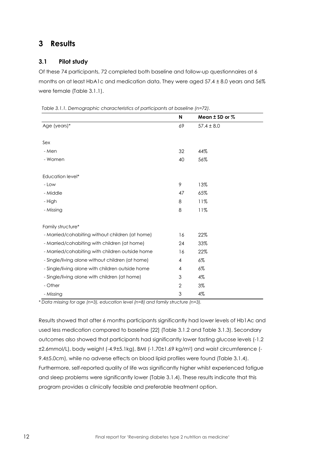# <span id="page-11-0"></span>**3 Results**

### <span id="page-11-1"></span>**3.1 Pilot study**

Of these 74 participants, 72 completed both baseline and follow-up questionnaires at 6 months on at least HbA1c and medication data. They were aged 57.4 ± 8.0 years and 56% were female (Table 3.1.1).

|                                                  | N            | Mean $±$ SD or $%$ |  |
|--------------------------------------------------|--------------|--------------------|--|
| Age (years)*                                     | 69           | $57.4 \pm 8.0$     |  |
|                                                  |              |                    |  |
| Sex                                              |              |                    |  |
| - Men                                            | 32           | 44%                |  |
| - Women                                          | 40           | 56%                |  |
|                                                  |              |                    |  |
| Education level*                                 |              |                    |  |
| - Low                                            | 9            | 13%                |  |
| - Middle                                         | 47           | 65%                |  |
| - High                                           | 8            | 11%                |  |
| - Missing                                        | 8            | 11%                |  |
|                                                  |              |                    |  |
| Family structure*                                |              |                    |  |
| - Married/cohabiting without children (at home)  | 16           | 22%                |  |
| - Married/cohabiting with children (at home)     | 24           | 33%                |  |
| - Married/cohabiting with children outside home  | 16           | 22%                |  |
| - Single/living alone without children (at home) | 4            | $6\%$              |  |
| - Single/living alone with children outside home | 4            | $6\%$              |  |
| - Single/living alone with children (at home)    | 3            | $4\%$              |  |
| - Other                                          | $\mathbf{2}$ | 3%                 |  |
| - Missing                                        | 3            | 4%                 |  |

*Table 3.1.1. Demographic characteristics of participants at baseline (n=72).*

*\* Data missing for age (n=3), education level (n=8) and family structure (n=3).*

Results showed that after 6 months participants significantly had lower levels of Hb1Ac and used less medication compared to baseline [22] (Table 3.1.2 and Table 3.1.3). Secondary outcomes also showed that participants had significantly lower fasting glucose levels (-1.2 ±2.6mmol/L), body weight (-4.9±5.1kg), BMI (-1.70±1.69 kg/m2) and waist circumference (- 9.4±5.0cm), while no adverse effects on blood lipid profiles were found (Table 3.1.4). Furthermore, self-reported quality of life was significantly higher whilst experienced fatigue and sleep problems were significantly lower (Table 3.1.4). These results indicate that this program provides a clinically feasible and preferable treatment option.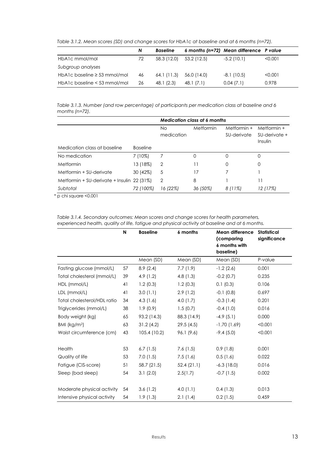*Table 3.1.2. Mean scores (SD) and change scores for HbA1c at baseline and at 6 months (n=72).*

|                                   | N  | <b>Baseline</b> |             | 6 months (n=72) Mean difference P value |         |
|-----------------------------------|----|-----------------|-------------|-----------------------------------------|---------|
| HbA1c mmol/mol                    | 72 | 58.3 (12.0)     | 53.2 (12.5) | $-5.2(10.1)$                            | < 0.001 |
| Subgroup analyses                 |    |                 |             |                                         |         |
| HbA1c baseline $\geq$ 53 mmol/mol | 46 | 64.1 (11.3)     | 56.0 (14.0) | $-8.1(10.5)$                            | < 0.001 |
| HbA1c baseline $<$ 53 mmol/mol    | 26 | 48.1 (2.3)      | 48.1 (7.1)  | 0.04(7.1)                               | 0.978   |

*Table 3.1.3. Number (and row percentage) of participants per medication class at baseline and 6 months (n=72).*

|                                              |                 | <b>Medication class at 6 months</b> |           |                            |                                         |  |  |
|----------------------------------------------|-----------------|-------------------------------------|-----------|----------------------------|-----------------------------------------|--|--|
|                                              |                 | No<br>medication                    | Metformin | Metformin +<br>SU-derivate | Metformin +<br>SU-derivate +<br>Insulin |  |  |
| Medication class at baseline                 | <b>Baseline</b> |                                     |           |                            |                                         |  |  |
| No medication                                | 7 (10%)         |                                     | 0         | O                          | 0                                       |  |  |
| Metformin                                    | 13 (18%)        | $\mathcal{P}$                       | 11        | O                          | 0                                       |  |  |
| Metformin + SU-derivate                      | 30 (42%)        | 5                                   | 17        |                            |                                         |  |  |
| Metformin + SU-derivate + Insulin $22$ (31%) |                 | 2                                   | 8         |                            | 11                                      |  |  |
| Subtotal                                     | 72 (100%)       | 16 (22%)                            | 36 (50%)  | 8 (11%)                    | 12 (17%)                                |  |  |

\* p chi square <0.001

*Table 3.1.4. Secondary outcomes: Mean scores and change scores for health parameters, experienced health, quality of life, fatigue and physical activity at baseline and at 6 months.*

|                             | N  | <b>Baseline</b> | 6 months    | Mean difference<br>(comparing<br>6 months with<br>baseline) | <b>Statistical</b><br>significance |
|-----------------------------|----|-----------------|-------------|-------------------------------------------------------------|------------------------------------|
|                             |    | Mean (SD)       | Mean (SD)   | Mean (SD)                                                   | P-value                            |
| Fasting glucose (mmol/L)    | 57 | 8.9(2.4)        | 7.7(1.9)    | $-1.2(2.6)$                                                 | 0.001                              |
| Total cholesterol (mmol/L)  | 39 | 4.9(1.2)        | 4.8(1.3)    | $-0.2$ (0.7)                                                | 0.235                              |
| HDL (mmol/L)                | 41 | 1.2(0.3)        | 1.2(0.3)    | 0.1(0.3)                                                    | 0.106                              |
| LDL (mmol/L)                | 41 | 3.0(1.1)        | 2.9(1.2)    | $-0.1$ $(0.8)$                                              | 0.697                              |
| Total cholesterol/HDL ratio | 34 | 4.3 $(1.6)$     | 4.0 $(1.7)$ | $-0.3(1.4)$                                                 | 0.201                              |
| Triglycerides (mmol/L)      | 38 | 1.9(0.9)        | 1.5(0.7)    | $-0.4(1.0)$                                                 | 0.016                              |
| Body weight (kg)            | 65 | 93.2 (14.3)     | 88.3 (14.9) | $-4.9(5.1)$                                                 | 0.000                              |
| BMI (kg/m <sup>2</sup> )    | 63 | 31.2(4.2)       | 29.5(4.5)   | $-1.70(1.69)$                                               | < 0.001                            |
| Waist circumference (cm)    | 43 | 105.4 (10.2)    | 96.1 (9.6)  | $-9.4(5.0)$                                                 | < 0.001                            |
| Health                      | 53 | 6.7(1.5)        | 7.6(1.5)    | 0.9(1.8)                                                    | 0.001                              |
| Quality of life             | 53 | 7.0(1.5)        | 7.5(1.6)    | 0.5(1.6)                                                    | 0.022                              |
| Fatigue (CIS-score)         | 51 | 58.7 (21.5)     | 52.4(21.1)  | $-6.3(18.0)$                                                | 0.016                              |
| Sleep (bad sleep)           | 54 | 3.1(2.0)        | 2.5(1.7)    | $-0.7(1.5)$                                                 | 0.002                              |
| Moderate physical activity  | 54 | 3.6(1.2)        | 4.0 $(1.1)$ | 0.4(1.3)                                                    | 0.013                              |
| Intensive physical activity | 54 | 1.9(1.3)        | 2.1(1.4)    | 0.2(1.5)                                                    | 0.459                              |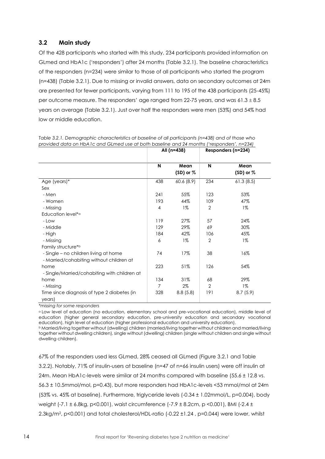### <span id="page-13-0"></span>**3.2 Main study**

Of the 428 participants who started with this study, 234 participants provided information on GLmed and HbA1c ('responders') after 24 months (Table 3.2.1). The baseline characteristics of the responders (n=234) were similar to those of all participants who started the program (n=438) (Table 3.2.1). Due to missing or invalid answers, data on secondary outcomes at 24m are presented for fewer participants, varying from 111 to 195 of the 438 participants (25-45%) per outcome measure. The responders' age ranged from 22-75 years, and was  $61.3 \pm 8.5$ years on average (Table 3.2.1). Just over half the responders were men (53%) and 54% had low or middle education.

|                                                                                   |                | All (n=438)           |                | Responders (n=234)    |
|-----------------------------------------------------------------------------------|----------------|-----------------------|----------------|-----------------------|
|                                                                                   | N              | Mean<br>$(SD)$ or $%$ | N              | Mean<br>$(SD)$ or $%$ |
| Age (years)*                                                                      | 438            | 60.6(8.9)             | 234            | 61.3(8.5)             |
| Sex                                                                               |                |                       |                |                       |
| - Men                                                                             | 241            | 55%                   | 123            | 53%                   |
| - Women                                                                           | 193            | 44%                   | 109            | 47%                   |
| - Missing                                                                         | 4              | $1\%$                 | $\overline{2}$ | $1\%$                 |
| Education level* <sup>a</sup>                                                     |                |                       |                |                       |
| - Low                                                                             | 119            | 27%                   | 57             | 24%                   |
| - Middle                                                                          | 129            | 29%                   | 69             | 30%                   |
| - High                                                                            | 184            | 42%                   | 106            | 45%                   |
| - Missing                                                                         | 6              | $1\%$                 | $\overline{2}$ | $1\%$                 |
| Family structure*b                                                                |                |                       |                |                       |
| - Single – no children living at home<br>- Married/cohabiting without children at | 74             | 17%                   | 38             | 16%                   |
| home                                                                              | 223            | 51%                   | 126            | 54%                   |
| - Single/Married/cohabiting with children at                                      |                |                       |                |                       |
| home                                                                              | 134            | 31%                   | 68             | 29%                   |
| - Missing                                                                         | $\overline{7}$ | $2\%$                 | $\overline{2}$ | $1\%$                 |
| Time since diagnosis of type 2 diabetes (in<br>years)                             | 328            | 8.8(5.8)              | 191            | 8.7(5.9)              |

*Table 3.2.1. Demographic characteristics at baseline of all participants (n=438) and of those who provided data on HbA1c and GLmed use at both baseline and 24 months ('responders', n=234)*

*\*missing for some responders*

<sup>a</sup>Low level of education (no education, elementary school and pre-vocational education), middle level of education (higher general secondary education, pre-university education and secondary vocational education), high level of education (higher professional education and university education). <sup>b</sup> Married/living together without (dwelling) children (married/living together without children and married/living together without dwelling children), single without (dwelling) children (single without children and single without dwelling children).

67% of the responders used less GLmed, 28% ceased all GLmed (Figure 3.2.1 and Table 3.2.2). Notably, 71% of insulin-users at baseline (n=47 of n=66 insulin users) were off insulin at 24m. Mean HbA1c-levels were similar at 24 months compared with baseline (55.6 ± 12.8 vs. 56.3 ± 10.5mmol/mol, p=0.43), but more responders had HbA1c-levels <53 mmol/mol at 24m (53% vs. 45% at baseline). Furthermore, triglyceride levels (-0.34 ± 1.02mmol/L, p=0.004), body weight (-7.1 ± 6.8kg, p<0.001), waist circumference (-7.9 ± 8.2cm, p <0.001), BMI (-2.4 ± 2.3kg/m<sup>2</sup> , p<0.001) and total cholesterol/HDL-ratio (-0.22 ±1.24 , p=0.044) were lower, whilst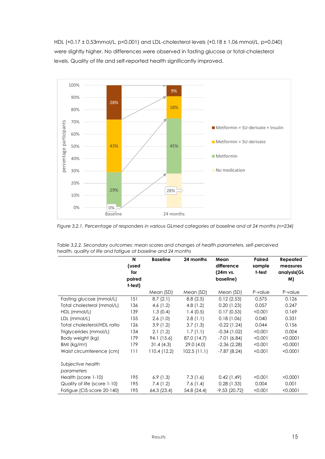HDL (+0.17 ± 0.53mmol/L, p<0.001) and LDL-cholesterol levels (+0.18 ± 1.06 mmol/L, p=0.040) were slightly higher. No differences were observed in fasting glucose or total-cholesterol levels. Quality of life and self-reported health significantly improved.



*Figure 3.2.1. Percentage of responders in various GLmed categories at baseline and at 24 months (n=234)*

|                                 | N<br>(used<br>for<br>paired<br>t-test) | <b>Baseline</b> | 24 months   | Mean<br>difference<br>(24m vs.<br>baseline) | Paired<br>sample<br>t-test | Repeated<br>measures<br>analysis(GL<br>M) |
|---------------------------------|----------------------------------------|-----------------|-------------|---------------------------------------------|----------------------------|-------------------------------------------|
|                                 |                                        | Mean (SD)       | Mean (SD)   | Mean (SD)                                   | P-value                    | P-value                                   |
| Fasting glucose (mmol/L)        | 151                                    | 8.7(2.1)        | 8.8(2.5)    | 0.12(2.53)                                  | 0.575                      | 0.126                                     |
| Total cholesterol (mmol/L)      | 136                                    | 4.6 $(1.2)$     | 4.8 $(1.2)$ | 0.20(1.23)                                  | 0.057                      | 0.247                                     |
| HDL (mmol/L)                    | 139                                    | 1.3(0.4)        | 1.4(0.5)    | 0.17(0.53)                                  | < 0.001                    | 0.169                                     |
| LDL (mmol/L)                    | 155                                    | 2.6(1.0)        | 2.8(1.1)    | 0.18(1.06)                                  | 0.040                      | 0.331                                     |
| Total cholesterol/HDL ratio     | 126                                    | 3.9(1.2)        | 3.7(1.3)    | $-0.22$ (1.24)                              | 0.044                      | 0.156                                     |
| Triglycerides (mmol/L)          | 134                                    | 2.1(1.2)        | 1.7(1.1)    | $-0.34(1.02)$                               | < 0.001                    | 0.004                                     |
| Body weight (kg)                | 179                                    | 94.1 (15.6)     | 87.0 (14.7) | $-7.01(6.84)$                               | < 0.001                    | < 0.0001                                  |
| BMI ( $kg/m2$ )                 | 179                                    | 31.4(4.3)       | 29.0(4.0)   | $-2.36(2.28)$                               | < 0.001                    | < 0.0001                                  |
| Waist circumference (cm)        | 111                                    | 110.4 (12.2)    | 102.5(11.1) | $-7.87(8.24)$                               | < 0.001                    | < 0.0001                                  |
| Subjective health<br>parameters |                                        |                 |             |                                             |                            |                                           |
| Health (score 1-10)             | 195                                    | 6.9(1.3)        | 7.3(1.6)    | 0.42(1.49)                                  | < 0.001                    | < 0.0001                                  |
| Quality of life (score 1-10)    | 195                                    | 7.4(1.2)        | 7.6(1.4)    | 0.28(1.33)                                  | 0.004                      | 0.001                                     |
| Fatigue (CIS-score 20-140)      | 195                                    | 64.3 (23.4)     | 54.8 (24.4) | $-9.53$ (20.72)                             | < 0.001                    | < 0.0001                                  |

*Table 3.2.2. Secondary outcomes: mean scores and changes of health parameters, self-perceived health, quality of life and fatigue at baseline and 24 months*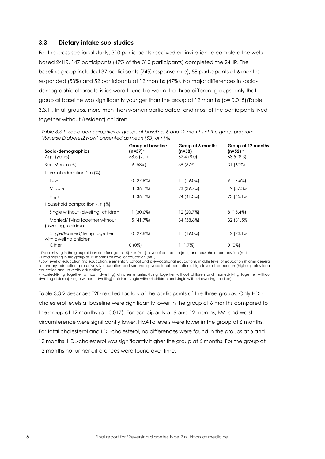#### <span id="page-15-0"></span>**3.3 Dietary intake sub-studies**

For the cross-sectional study, 310 participants received an invitation to complete the webbased 24HR. 147 participants (47% of the 310 participants) completed the 24HR. The baseline group included 37 participants (74% response rate), 58 participants at 6 months responded (53%) and 52 participants at 12 months (47%). No major differences in sociodemographic characteristics were found between the three different groups, only that group at baseline was significantly younger than the group at 12 months (p= 0.015)(Table 3.3.1). In all groups, more men than women participated, and most of the participants lived together without (resident) children.

| Socio-demographics                                       | Group at baseline | Group at 6 months<br>(n=58) | Group at 12 months<br>(n=52) ⊵ |
|----------------------------------------------------------|-------------------|-----------------------------|--------------------------------|
| Age (years)                                              | 58.5(7.1)         | 62.4(8.0)                   | 63.5(8.3)                      |
| Sex: Men $n$ (%)                                         | 19 (53%)          | 39 (67%)                    | 31 (60%)                       |
| Level of education $\epsilon$ , n (%)                    |                   |                             |                                |
| Low                                                      | $10(27.8\%)$      | 11 (19.0%)                  | $9(17.6\%)$                    |
| Middle                                                   | 13 (36.1%)        | 23 (39.7%)                  | 19 (37.3%)                     |
| High                                                     | 13 (36.1%)        | 24 (41.3%)                  | 23 (45.1%)                     |
| Household composition $d$ , n (%)                        |                   |                             |                                |
| Single without (dwelling) children                       | 11 (30.6%)        | 12 (20.7%)                  | $8(15.4\%)$                    |
| Married/living together without<br>(dwelling) children   | 15 (41.7%)        | 34 (58.6%)                  | 32 (61.5%)                     |
| Single/Married/Iiving together<br>with dwelling children | 10 (27.8%)        | 11 (19.0%)                  | $12(23.1\%)$                   |
| Other                                                    | $0(0\%)$          | $1(1.7\%)$                  | $0(0\%)$                       |

*Table 3.3.1. Socio-demographics of groups at baseline, 6 and 12 months of the group program 'Reverse Diabetes2 Now' presented as mean (SD) or n(%)*

<sup>a</sup> Data missing in the group at baseline for age (n= 5), sex (n=1), level of education (n=1) and household composition (n=1).

**b** Data missing in the group at 12 months for level of education (n=1).

<sup>c</sup> Low level of education (no education, elementary school and pre-vocational education), middle level of education (higher general secondary education, pre-university education and secondary vocational education), high level of education (higher professional education and university education).

d Married/living together without (dwelling) children (married/living together without children and married/living together without dwelling children), single without (dwelling) children (single without children and single without dwelling children).

Table 3.3.2 describes T2D related factors of the participants of the three groups. Only HDLcholesterol levels at baseline were significantly lower in the group at 6 months compared to the group at 12 months (p= 0.017). For participants at 6 and 12 months, BMI and waist circumference were significantly lower. HbA1c levels were lower in the group at 6 months. For total cholesterol and LDL-cholesterol, no differences were found in the groups at 6 and 12 months. HDL-cholesterol was significantly higher the group at 6 months. For the group at 12 months no further differences were found over time.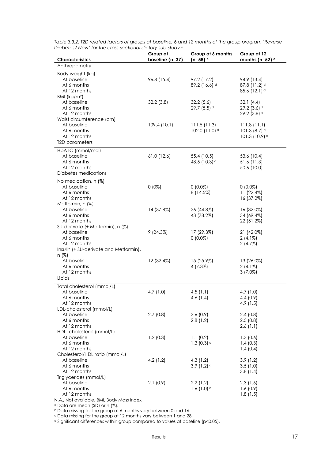| Characteristics                        | Group at<br>baseline (n=37) | Group at 6 months<br>(n=58) b | Group at 12<br>months (n=52) $\circ$ |
|----------------------------------------|-----------------------------|-------------------------------|--------------------------------------|
| Anthropometry                          |                             |                               |                                      |
| Body weight (kg)                       |                             |                               |                                      |
| At baseline                            | 96.8 (15.4)                 | 97.2 (17.2)                   | 94.9 (13.4)                          |
| At 6 months                            |                             | $89.2(16.6)$ <sup>d</sup>     | $87.8(11.2)$ <sup>d</sup>            |
| At 12 months                           |                             |                               | $85.6(12.1)$ <sup>d</sup>            |
| BMI ( $kg/m2$ )                        |                             |                               |                                      |
| At baseline                            | 32.2(3.8)                   | 32.2(5.6)                     | 32.1(4.4)                            |
| At 6 months                            |                             | 29.7 (5.5) d                  | 29.2 $(3.6)$ <sup>d</sup>            |
| At 12 months                           |                             |                               | 29.2 (3.8) d                         |
| Waist circumference (cm)               |                             |                               |                                      |
| At baseline                            | 109.4(10.1)                 | 111.5(11.3)                   | 111.8(11.1)                          |
| At 6 months                            |                             | 102.0 (11.0) d                | 101.3 $(8.7)$ <sup>d</sup>           |
| At 12 months<br>T2D parameters         |                             |                               | 101.3 (10.9) <sup>d</sup>            |
|                                        |                             |                               |                                      |
| HbA1C (mmol/mol)<br>At baseline        |                             |                               |                                      |
| At 6 months                            | $61.0$ (12.6)               | 55.4 (10.5)<br>48.5 (10.3) d  | 53.6 (10.4)<br>51.6 (11.3)           |
| At 12 months                           |                             |                               | 50.6 (10.0)                          |
| Diabetes medications                   |                             |                               |                                      |
|                                        |                             |                               |                                      |
| No medication, n (%)<br>At baseline    | $0(0\%)$                    | $0(0.0\%)$                    | $0(0.0\%)$                           |
| At 6 months                            |                             | 8(14.5%)                      | 11 (22.4%)                           |
| At 12 months                           |                             |                               | 16 (37.2%)                           |
| Metformin, n (%)                       |                             |                               |                                      |
| At baseline                            | 14 (37.8%)                  | 26 (44.8%)                    | 16 (32.0%)                           |
| At 6 months                            |                             | 43 (78.2%)                    | 34 (69.4%)                           |
| At 12 months                           |                             |                               | 22 (51.2%)                           |
| SU-derivate (+ Metformin), n (%)       |                             |                               |                                      |
| At baseline                            | 9(24.3%)                    | 17 (29.3%)                    | 21 (42.0%)                           |
| At 6 months                            |                             | $0(0.0\%)$                    | $2(4.1\%)$                           |
| At 12 months                           |                             |                               | 2(4.7%)                              |
| Insulin (+ SU-derivate and Metformin), |                             |                               |                                      |
| n (%)<br>At baseline                   | 12 (32.4%)                  | 15 (25.9%)                    | 13 (26.0%)                           |
| At 6 months                            |                             | 4 (7.3%)                      | $2(4.1\%)$                           |
| At 12 months                           |                             |                               | $3(7.0\%)$                           |
| Lipids                                 |                             |                               |                                      |
| Total cholesterol (mmol/L)             |                             |                               |                                      |
| At baseline                            | 4.7 (1.0)                   | 4.5 $(1.1)$                   | 4.7 $(1.0)$                          |
| At 6 months                            |                             | 4.6 $(1.4)$                   | 4.4(0.9)                             |
| At 12 months                           |                             |                               | 4.9(1.5)                             |
| LDL-cholesterol (mmol/L)               |                             |                               |                                      |
| At baseline                            | 2.7(0.8)                    | 2.6(0.9)                      | 2.4(0.8)                             |
| At 6 months                            |                             | 2.8(1.2)                      | 2.5(0.8)                             |
| At 12 months                           |                             |                               | 2.6(1.1)                             |
| HDL- cholesterol (mmol/L)              |                             |                               |                                      |
| At baseline                            | 1.2(0.3)                    | 1.1(0.2)                      | 1.3(0.6)                             |
| At 6 months<br>At 12 months            |                             | 1.3 $(0.3)$ <sup>d</sup>      | 1.4(0.3)<br>1.4(0.4)                 |
| Cholesterol/HDL ratio (mmol/L)         |                             |                               |                                      |
| At baseline                            | 4.2(1.2)                    | 4.3(1.2)                      | 3.9(1.2)                             |
| At 6 months                            |                             | 3.9 $(1.2)$ <sup>d</sup>      | 3.5(1.0)                             |
| At 12 months                           |                             |                               | 3.8(1.4)                             |
| Triglycerides (mmol/L)                 |                             |                               |                                      |
| At baseline                            | 2.1(0.9)                    | 2.2(1.2)                      | 2.3(1.6)                             |
| At 6 months                            |                             | 1.6 $(1.0)$ d                 | 1.6(0.9)                             |
| At 12 months                           |                             |                               | 1.8(1.5)                             |

*Table 3.3.2. T2D related factors of groups at baseline, 6 and 12 months of the group program 'Reverse Diabetes2 Now' for the cross-sectional dietary sub-study <sup>a</sup>*

N.A., Not available, BMI, Body Mass Index

<sup>a</sup> Data are mean (SD) or n (%).

b Data missing for the group at 6 months vary between 0 and 16.

<sup>c</sup> Data missing for the group at 12 months vary between 1 and 28.

<sup>d</sup> Significant differences within group compared to values at baseline (p<0.05).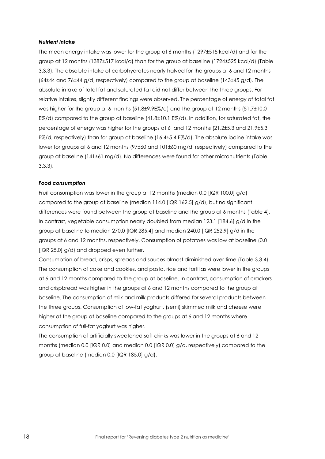#### *Nutrient intake*

The mean energy intake was lower for the group at 6 months (1297±515 kcal/d) and for the group at 12 months (1387±517 kcal/d) than for the group at baseline (1724±525 kcal/d) (Table 3.3.3). The absolute intake of carbohydrates nearly halved for the groups at 6 and 12 months (64±44 and 76±44 g/d, respectively) compared to the group at baseline (143±45 g/d). The absolute intake of total fat and saturated fat did not differ between the three groups. For relative intakes, slightly different findings were observed. The percentage of energy of total fat was higher for the group at 6 months (51.8±9.9E%/d) and the group at 12 months (51.7±10.0 E%/d) compared to the group at baseline (41.8±10.1 E%/d). In addition, for saturated fat, the percentage of energy was higher for the groups at 6 and 12 months (21.2±5.3 and 21.9±5.3 E%/d, respectively) than for group at baseline (16.4±5.4 E%/d). The absolute iodine intake was lower for groups at 6 and 12 months (97±60 and 101±60 mg/d, respectively) compared to the group at baseline (141±61 mg/d). No differences were found for other micronutrients (Table 3.3.3).

#### *Food consumption*

Fruit consumption was lower in the group at 12 months (median 0.0 [IQR 100.0] g/d) compared to the group at baseline (median 114.0 [IQR 162.5] g/d), but no significant differences were found between the group at baseline and the group at 6 months (Table 4). In contrast, vegetable consumption nearly doubled from median 123.1 [184.6] g/d in the group at baseline to median 270.0 [IQR 285.4] and median 240.0 [IQR 252.9] g/d in the groups at 6 and 12 months, respectively. Consumption of potatoes was low at baseline (0.0 [IQR 25.0] g/d) and dropped even further.

Consumption of bread, crisps, spreads and sauces almost diminished over time (Table 3.3.4). The consumption of cake and cookies, and pasta, rice and tortillas were lower in the groups at 6 and 12 months compared to the group at baseline. In contrast, consumption of crackers and crispbread was higher in the groups at 6 and 12 months compared to the group at baseline. The consumption of milk and milk products differed for several products between the three groups. Consumption of low-fat yoghurt, (semi) skimmed milk and cheese were higher at the group at baseline compared to the groups at 6 and 12 months where consumption of full-fat yoghurt was higher.

The consumption of artificially sweetened soft drinks was lower in the groups at 6 and 12 months (median 0.0 [IQR 0.0] and median 0.0 [IQR 0.0] g/d, respectively) compared to the group at baseline (median 0.0 [IQR 185.0] g/d).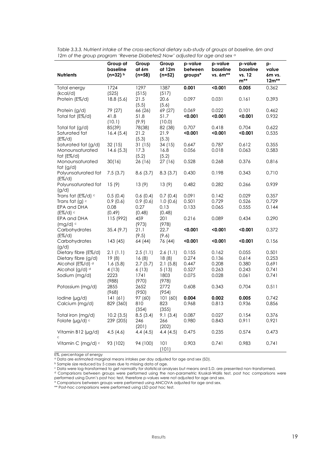| <b>Nutrients</b>                                      | Group at<br>baseline<br>$(n=32)$ b | Group<br>at 6m<br>$(n=58)$ | Group<br>at 12m<br>$(n=52)$ | p-value<br>between<br>groups* | p-value<br>baseline<br>vs. 6m** | p-value<br>baseline<br>vs. 12<br>$m^{**}$ | p-<br>value<br>6m vs.<br>$12m**$ |
|-------------------------------------------------------|------------------------------------|----------------------------|-----------------------------|-------------------------------|---------------------------------|-------------------------------------------|----------------------------------|
| Total energy                                          | 1724                               | 1297                       | 1387                        | 0.001                         | < 0.001                         | 0.005                                     | 0.362                            |
| (kcal/d)<br>Protein (E%/d)                            | (525)<br>18.8(5.6)                 | (515)<br>21.5<br>(5.5)     | (517)<br>20.6<br>(5.6)      | 0.097                         | 0.031                           | 0.161                                     | 0.393                            |
| Protein (g/d)<br>Total fat (E%/d)                     | 79 (27)<br>41.8<br>(10.1)          | 66 (26)<br>51.8<br>(9.9)   | 69 (27)<br>51.7             | 0.069<br>< 0.001              | 0.022<br>< 0.001                | 0.101<br>< 0.001                          | 0.462<br>0.932                   |
| Total fat (g/d)<br>Saturated fat                      | 85(39)<br>16.4(5.4)                | 78(38)<br>21.2             | (10.0)<br>82 (38)<br>21.9   | 0.707<br>< 0.001              | 0.418<br>< 0.001                | 0.704<br>< 0.001                          | 0.622<br>0.535                   |
| $(E\% / d)$<br>Saturated fat (g/d)<br>Monounsaturated | 32(15)<br>14.6(5.3)                | (5.3)<br>31(15)<br>17.3    | (5.3)<br>34(15)<br>16.8     | 0.647<br>0.056                | 0.787<br>0.018                  | 0.612<br>0.063                            | 0.355<br>0.583                   |
| fat $(E\% / d)$<br>Monounsaturated<br>fat $(g/d)$     | 30(16)                             | (5.2)<br>26 (16)           | (5.2)<br>27(16)             | 0.528                         | 0.268                           | 0.376                                     | 0.816                            |
| Polyunsaturated fat<br>$(E\% / d)$                    | 7.5(3.7)                           | 8.6(3.7)                   | 8.3(3.7)                    | 0.430                         | 0.198                           | 0.343                                     | 0.710                            |
| Polyunsaturated fat<br>(g/d)                          | 15(9)                              | 13(9)                      | 13(9)                       | 0.482                         | 0.282                           | 0.266                                     | 0.939                            |
| Trans fat (E%/d) c                                    | 0.5(0.4)                           | 0.6(0.4)                   | 0.7(0.4)                    | 0.091                         | 0.142                           | 0.029                                     | 0.357                            |
| Trans fat (g) $c$<br>EPA and DHA                      | 0.9(0.6)<br>0.08                   | 0.9(0.6)<br>0.27           | 1.0(0.6)<br>0.13            | 0.501<br>0.133                | 0.729<br>0.065                  | 0.526<br>0.555                            | 0.729<br>0.144                   |
| $(E\% / d)$                                           | (0.49)                             | (0.48)                     | (0.48)                      |                               |                                 |                                           |                                  |
| EPA and DHA<br>$(mg/d)$ c                             | 115 (992)                          | 459<br>(973)               | 201<br>(978)                | 0.216                         | 0.089                           | 0.434                                     | 0.290                            |
| Carbohydrates<br>$(E\% / d)$                          | 35.4(9.7)                          | 21.1<br>(9.5)              | 22.7<br>(9.6)               | < 0.001                       | < 0.001                         | < 0.001                                   | 0.372                            |
| Carbohydrates<br>(g/d)                                | 143 (45)                           | 64 (44)                    | 76 (44)                     | < 0.001                       | < 0.001                         | < 0.001                                   | 0.156                            |
| Dietary fibre (E%/d)                                  | 2.1(1.1)                           | 2.5(1.1)                   | 2.6(1.1)                    | 0.155                         | 0.162                           | 0.055                                     | 0.501                            |
| Dietary fibre (g/d)                                   | 19(8)                              | 16(8)                      | 18(8)                       | 0.274                         | 0.136                           | 0.614                                     | 0.253                            |
| Alcohol (E%/d) d                                      | 1.6(5.8)                           | 2.7(5.7)                   | 2.1(5.8)                    | 0.447                         | 0.208                           | 0.380                                     | 0.691                            |
| Alcohol (g/d) d                                       | 4 (13)                             | 6(13)                      | 5(13)                       | 0.527                         | 0.263                           | 0.243                                     | 0.741                            |
| Sodium (mg/d)                                         | 2223<br>(988)                      | 1741<br>(970)              | 1803<br>(978)               | 0.075                         | 0.028                           | 0.061                                     | 0.741                            |
| Potassium (mg/d)                                      | 2855<br>(968)                      | 2652<br>(950)              | 2772<br>(954)               | 0.608                         | 0.343                           | 0.704                                     | 0.511                            |
| lodine (µg/d)                                         | 141(61)                            | 97 (60)                    | 101 (60)                    | 0.004                         | 0.002                           | 0.005                                     | 0.742                            |
| Calcium (mg/d)                                        | 829 (360)                          | 810<br>(354)               | 823<br>(355)                | 0.968                         | 0.813                           | 0.936                                     | 0.856                            |
| Total iron (mg/d)                                     | 10.2(3.5)                          | 8.5(3.4)                   | 9.1(3.4)                    | 0.087                         | 0.027                           | 0.154                                     | 0.376                            |
| Folate ( $\mu$ g/d) $\circ$                           | 239 (205)                          | 246<br>(201)               | 266<br>(202)                | 0.980                         | 0.843                           | 0.911                                     | 0.921                            |
| Vitamin B12 (µg/d)<br>$\mathsf{C}$                    | 4.5(4.6)                           | 4.4(4.5)                   | 4.4(4.5)                    | 0.475                         | 0.235                           | 0.574                                     | 0.473                            |
| Vitamin C (mg/d) c                                    | 93 (102)                           | 94 (100)                   | 101<br>(101)                | 0.903                         | 0.741                           | 0.983                                     | 0.741                            |

*Table 3.3.3. Nutrient intake of the cross-sectional dietary sub-study of groups at baseline, 6m and 12m of the group program 'Reverse Diabetes2 Now' adjusted for age and sex <sup>a</sup>*

E%, percentage of energy

<sup>a</sup> Data are estimated marginal means intakes per day adjusted for age and sex (SD).

**b Sample size reduced by 5 cases due to missing data of age.** 

<sup>c</sup> Data were log-transformed to get normality for statistical analyses but means and S.D. are presented non-transformed. <sup>d</sup> Comparisons between groups were performed using the non-parametric Kruskal-Wallis test, post hoc comparisons were

performed using Dunn's post hoc test, therefore p-values were not adjusted for age and sex.

\* Comparisons between groups were performed using ANCOVA adjusted for age and sex.

\*\* Post-hoc comparisons were performed using LSD post hoc test.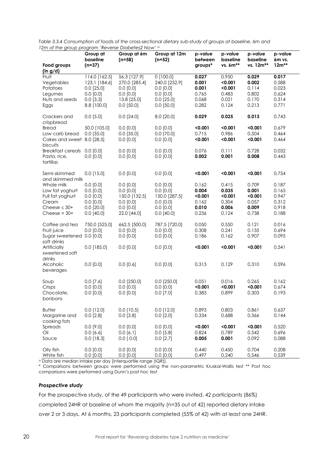| $\sim$ . The group program noveled braser cost non-                       | Group at                                                                       | Group at 6m                                                                | Group at 12m                                                                 | p-value                                   | p-value                                       | p-value                                   | p-value                                   |
|---------------------------------------------------------------------------|--------------------------------------------------------------------------------|----------------------------------------------------------------------------|------------------------------------------------------------------------------|-------------------------------------------|-----------------------------------------------|-------------------------------------------|-------------------------------------------|
| Food groups                                                               | baseline<br>$(n=37)$                                                           | $(n=58)$                                                                   | $(n=52)$                                                                     | between<br>groups*                        | baseline<br>vs. 6m**                          | baseline<br>vs. 12m**                     | 6m vs.<br>$12m**$                         |
| (in g/d)<br>Fruit<br>Vegetables<br>Potatoes<br>Legumes<br>Nuts and seeds  | 114.0 [162.5]<br>123.1 [184.6]<br>$0.0$ [25.0]<br>$0.0$ $[0.0]$<br>$0.0$ [3.3] | 56.3 [127.9]<br>270.0 [285.4]<br>$0.0$ [0.0]<br>$0.0$ [0.0]<br>13.8 [25.0] | $0$ [100.0]<br>240.0 [252.9]<br>$0.0$ [0.0]<br>$0.0$ $[0.0]$<br>$0.0$ [25.0] | 0.027<br>0.001<br>0.001<br>0.765<br>0.068 | 0.950<br>< 0.001<br>< 0.001<br>0.483<br>0.021 | 0.029<br>0.002<br>0.114<br>0.802<br>0.170 | 0.017<br>0.588<br>0.023<br>0.624<br>0.314 |
| Eggs                                                                      | 8.8 [100.0]                                                                    | $0.0$ [50.0]                                                               | $0.0$ [50.0]                                                                 | 0.282                                     | 0.124                                         | 0.213                                     | 0.771                                     |
| Crackers and<br>crispbread                                                | $0.0$ [5.0]                                                                    | $0.0$ [24.0]                                                               | 8.0 [20.0]                                                                   | 0.029                                     | 0.025                                         | 0.013                                     | 0.743                                     |
| <b>Bread</b><br>Low carb bread<br>Cakes and sweet 8.0 [28.5]<br>biscuits  | 50.0 [105.0]<br>$0.0$ [35.0]                                                   | $0.0$ $[0.0]$<br>$0.0$ [35.0]<br>$0.0$ [0.0]                               | $0.0$ [0.0]<br>$0.0$ [70.0]<br>$0.0$ [0.0]                                   | < 0.001<br>0.715<br>< 0.001               | < 0.001<br>0.986<br>< 0.001                   | < 0.001<br>0.504<br>< 0.001               | 0.679<br>0.464<br>0.464                   |
| Breakfast cereals 0.0 [0.0]<br>Pasta, rice,<br>tortillas                  | $0.0$ [0.0]                                                                    | $0.0$ [0.0]<br>$0.0$ $[0.0]$                                               | $0.0$ [0.0]<br>$0.0$ $[0.0]$                                                 | 0.076<br>0.002                            | 0.111<br>0.001                                | 0.728<br>0.008                            | 0.032<br>0.443                            |
| Semi-skimmed<br>and skimmed milk                                          | $0.0$ [15.0]                                                                   | $0.0$ [0.0]                                                                | $0.0$ [0.0]                                                                  | < 0.001                                   | < 0.001                                       | < 0.001                                   | 0.754                                     |
| Whole milk<br>Low fat yoghurt<br>Full fat yoghurt<br>Cream                | $0.0$ [0.0]<br>$0.0$ [0.0]<br>$0.0$ [0.0]<br>$0.0$ [0.0]                       | $0.0$ [0.0]<br>$0.0$ [0.0]<br>150.0 [132.5]<br>$0.0$ [0.0]                 | $0.0$ [0.0]<br>$0.0$ [0.0]<br>150.0 [287.5]<br>$0.0$ [0.0]                   | 0.162<br>0.004<br>< 0.001<br>0.162        | 0.415<br>0.035<br>< 0.001<br>0.304            | 0.709<br>0.001<br>< 0.001<br>0.057        | 0.187<br>0.165<br>0.947<br>0.312          |
| Cheese $\leq$ 30+<br>Cheese $>$ 30+                                       | $0.0$ [20.0]<br>$0.0$ [40.0]                                                   | $0.0$ [0.0]<br>22.0 [44.0]                                                 | $0.0$ [0.0]<br>$0.0$ [40.0]                                                  | 0.010<br>0.236                            | 0.006<br>0.124                                | 0.009<br>0.738                            | 0.918<br>0.188                            |
| Coffee and tea<br>Fruit juice<br>Sugar sweetened 0.0 [0.0]<br>soft drinks | 750.0 [525.0]<br>$0.0$ [0.0]                                                   | 662.5 [500.0]<br>$0.0$ [0.0]<br>$0.0$ [0.0]                                | 787.5 [720.0]<br>$0.0$ [0.0]<br>$0.0$ [0.0]                                  | 0.050<br>0.308<br>0.186                   | 0.550<br>0.241<br>0.162                       | 0.121<br>0.135<br>0.907                   | 0.016<br>0.694<br>0.095                   |
| Artificially<br>sweetened soft<br>drinks                                  | $0.0$ [185.0]                                                                  | $0.0$ [0.0]                                                                | $0.0$ [0.0]                                                                  | < 0.001                                   | < 0.001                                       | < 0.001                                   | 0.541                                     |
| Alcoholic<br>beverages                                                    | $0.0$ [0.0]                                                                    | $0.0$ [0.6]                                                                | $0.0$ [0.0]                                                                  | 0.313                                     | 0.129                                         | 0.310                                     | 0.596                                     |
| Soup<br>Crisps<br>Chocolate,<br>bonbons                                   | $0.0$ [7.6]<br>$0.0$ [0.0]<br>$0.0$ $[0.0]$                                    | $0.0$ [250.0]<br>$0.0$ [0.0]<br>0.0 [0.0]                                  | $0.0$ [250.0]<br>$0.0$ [0.0]<br>$0.0$ [7.0]                                  | 0.051<br>< 0.001<br>0.383                 | 0.016<br>< 0.001<br>0.899                     | 0.265<br>< 0.001<br>0.303                 | 0.162<br>0.674<br>0.193                   |
| <b>Butter</b><br>Margarine and<br>cooking fats                            | $0.0$ [12.0]<br>$0.0$ [2.8]                                                    | $0.0$ [10.5]<br>$0.0$ [3.8]                                                | $0.0$ [12.0]<br>$0.0$ [2.0]                                                  | 0.893<br>0.334                            | 0.803<br>0.688                                | 0.861<br>0.366                            | 0.637<br>0.144                            |
| Spreads<br>Oil<br>Sauce                                                   | $0.0$ [9.0]<br>0.0 [6.6]<br>$0.0$ [18.3]                                       | $0.0$ $[0.0]$<br>0.0 [6.1]<br>$0.0$ [ 0.0]                                 | $0.0$ [0.0]<br>$0.0$ [5.8]<br>$0.0$ [2.7]                                    | < 0.001<br>0.824<br>0.005                 | < 0.001<br>0.789<br>0.001                     | < 0.001<br>0.542<br>0.092                 | 0.520<br>0.696<br>0.088                   |
| Oily fish<br>White fish                                                   | $0.0$ [0.0]<br>$0.0$ [0.0]                                                     | $0.0$ [0.0]<br>$0.0$ $[0.0]$                                               | $0.0$ [0.0]<br>$0.0$ $[0.0]$                                                 | 0.440<br>0.497                            | 0.450<br>0.240                                | 0.704<br>0.546                            | 0.208<br>0.539                            |

*Table 3.3.4 Consumption of foods of the cross-sectional dietary sub-study of groups at baseline, 6m and 12m of the group program 'Reverse Diabetes2 Now' <sup>a</sup>*

<sup>a</sup> Data are median intake per day [interquartile range (IQR)].

\* Comparisons between groups were performed using the non-parametric Kruskal-Wallis test \*\* Post hoc comparisons were performed using Dunn's post hoc test

#### *Prospective study*

For the prospective study, of the 49 participants who were invited, 42 participants (86%) completed 24HR at baseline of whom the majority (n=35 out of 42) reported dietary intake over 2 or 3 days. At 6 months, 23 participants completed (55% of 42) with at least one 24HR.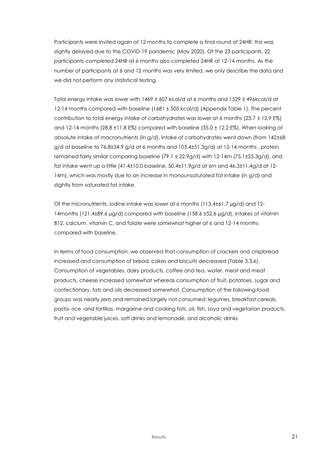Participants were invited again at 12 months to complete a final round of 24HR; this was slightly delayed due to the COVID-19 pandemic (May 2020). Of the 23 participants, 22 participants completed 24HR at 6 months also completed 24HR at 12-14 months. As the number of participants at 6 and 12 months was very limited, we only describe the data and we did not perform any statistical testing.

Total energy intake was lower with 1469 ± 607 kcal/d at 6 months and 1529 ± 496kcal/d at 12-14 months compared with baseline (1681 ± 505 kcal/d) (Appendix Table 1). The percent contribution to total energy intake of carbohydrates was lower at 6 months (23.7 ± 12.9 E%) and 12-14 months ( $28.8 \pm 11.8$  E%) compared with baseline ( $35.0 \pm 12.2$  E%). When looking at absolute intake of macronutrients (in g/d), intake of carbohydrates went down (from 142±68 g/d at baseline to  $76.8\pm34.9$  g/d at 6 months and  $103.4\pm51.3$ g/d) at  $12$ -14 months, protein remained fairly similar comparing baseline (79.1 ± 22.9g/d) with 12-14m (75.1±25.3g/d), and fat intake went up a little  $(41.4\pm10.0$  baseline,  $50.4\pm11.9g/d$  at 6m and  $46.3\pm11.4g/d$  at 12-14m), which was mostly due to an increase in monounsaturated fat intake (in g/d) and slightly from saturated fat intake.

Of the micronutrients, iodine intake was lower at 6 months (113.4±61.7 µg/d) and 12- 14months (121.4±89.6 µg/d) compared with baseline (158.6 ±52.6 µg/d). Intakes of vitamin B12, calcium, vitamin C, and folate were somewhat higher at 6 and 12-14 months compared with baseline.

In terms of food consumption, we observed that consumption of crackers and crispbread increased and consumption of bread, cakes and biscuits decreased (Table 3.3.6). Consumption of vegetables, dairy products, coffee and tea, water, meat and meat products, cheese increased somewhat whereas consumption of fruit, potatoes, sugar and confectionary, fats and oils decreased somewhat. Consumption of the following food groups was nearly zero and remained largely not consumed: legumes, breakfast cereals, pasta- rice -and tortillas, margarine and cooking fats, oil, fish, soya and vegetarian products, fruit and vegetable juices, soft drinks and lemonade, and alcoholic drinks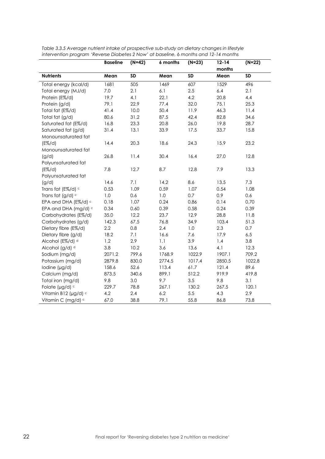|                            | <b>Baseline</b> | $(N=42)$  | 6 months | $(N=23)$  | $12 - 14$ | $(N=22)$  |
|----------------------------|-----------------|-----------|----------|-----------|-----------|-----------|
|                            |                 |           |          |           | months    |           |
| <b>Nutrients</b>           | Mean            | <b>SD</b> | Mean     | <b>SD</b> | Mean      | <b>SD</b> |
| Total energy (kcal/d)      | 1681            | 505       | 1469     | 607       | 1529      | 496       |
| Total energy (MJ/d)        | $7.0\,$         | 2.1       | 6.1      | 2.5       | 6.4       | 2.1       |
| Protein (E%/d)             | 19.7            | 4.1       | 22.1     | 4.2       | 20.8      | 4.4       |
| Protein (g/d)              | 79.1            | 22.9      | 77.4     | 32.0      | 75.1      | 25.3      |
| Total fat (E%/d)           | 41.4            | 10.0      | 50.4     | 11.9      | 46.3      | 11.4      |
| Total fat (g/d)            | 80.6            | 31.2      | 87.5     | 42.4      | 82.8      | 34.6      |
| Saturated fat (E%/d)       | 16.8            | 23.3      | 20.8     | 26.0      | 19.8      | 28.7      |
| Saturated fat (g/d)        | 31.4            | 13.1      | 33.9     | 17.5      | 33.7      | 15.8      |
| Monounsaturated fat        |                 |           |          |           |           |           |
| $(E\% / d)$                | 14.4            | 20.3      | 18.6     | 24.3      | 15.9      | 23.2      |
| Monounsaturated fat        |                 |           |          |           |           |           |
| (g/d)                      | 26.8            | 11.4      | 30.4     | 16.4      | 27.0      | 12.8      |
| Polyunsaturated fat        |                 |           |          |           |           |           |
| $(E\% / d)$                | 7.8             | 12.7      | 8.7      | 12.8      | 7.9       | 13.3      |
| Polyunsaturated fat        |                 |           |          |           |           |           |
| (g/d)                      | 14.6            | 7.1       | 14.2     | 8.6       | 13.5      | 7.3       |
| Trans fat (E%/d) c         | 0.53            | 1.09      | 0.59     | 1.07      | 0.54      | 1.08      |
| Trans fat (g/d) $c$        | 1.0             | 0.6       | 1.0      | 0.7       | 0.9       | 0.6       |
| EPA and DHA (E%/d) c       | 0.18            | 1.07      | 0.24     | 0.86      | 0.14      | 0.70      |
| EPA and DHA (mg/d) c       | 0.34            | 0.60      | 0.39     | 0.58      | 0.24      | 0.39      |
| Carbohydrates (E%/d)       | 35.0            | 12.2      | 23.7     | 12.9      | 28.8      | 11.8      |
| Carbohydrates (g/d)        | 142.3           | 67.5      | 76.8     | 34.9      | 103.4     | 51.3      |
| Dietary fibre (E%/d)       | 2.2             | 0.8       | 2.4      | 1.0       | 2.3       | 0.7       |
| Dietary fibre (g/d)        | 18.2            | 7.1       | 16.6     | 7.6       | 17.9      | 6.5       |
| Alcohol (E%/d) d           | 1.2             | 2.9       | 1.1      | 3.9       | 1.4       | 3.8       |
| Alcohol (g/d) <sup>d</sup> | 3.8             | 10.2      | 3.6      | 13.6      | 4.1       | 12.3      |
| Sodium (mg/d)              | 2071.2          | 799.6     | 1768.9   | 1022.9    | 1907.1    | 709.2     |
| Potassium (mg/d)           | 2879.8          | 830.0     | 2774.5   | 1017.4    | 2850.5    | 1022.8    |
| lodine (µg/d)              | 158.6           | 52.6      | 113.4    | 61.7      | 121.4     | 89.6      |
| Calcium (mg/d)             | 873.5           | 340.6     | 899.1    | 512.2     | 919.9     | 419.8     |
| Total iron (mg/d)          | 9.8             | 3.0       | 9.7      | 3.5       | 9.8       | 3.1       |
| Folate (µg/d) c            | 229.7           | 78.8      | 267.1    | 130.2     | 267.5     | 120.1     |
| Vitamin B12 (µg/d) c       | 4.2             | 2.4       | 6.2      | 5.5       | 4.3       | 2.9       |
| Vitamin C (mg/d) c         | 67.0            | 38.8      | 79.1     | 55.8      | 86.8      | 73.8      |

*Table 3.3.5 Average nutrient intake of prospective sub-study on dietary changes in lifestyle intervention program 'Reverse Diabetes 2 Now' at baseline, 6 months and 12-14 months*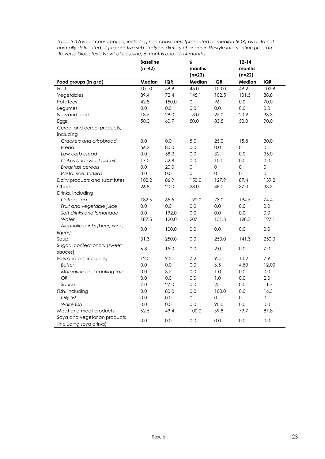|                                | <b>Baseline</b> |       | 6           |                     | $12 - 14$   |             |
|--------------------------------|-----------------|-------|-------------|---------------------|-------------|-------------|
|                                | $(n=42)$        |       | months      |                     | months      |             |
|                                |                 |       | $(n=23)$    |                     | $(n=22)$    |             |
| Food groups (in g/d)           | Median          | IQR   | Median      | <b>IQR</b>          | Median      | <b>IQR</b>  |
| Fruit                          | 101.0           | 59.9  | 45.0        | 100.0               | 49.2        | 102.8       |
| Vegetables                     | 89.4            | 72.4  | 145.1       | 102.5               | 101.5       | 88.8        |
| Potatoes                       | 42.8            | 150.0 | 0           | 96                  | 0.0         | 70.0        |
| Legumes                        | 0.0             | 0.0   | 0.0         | 0.0                 | 0.0         | 0.0         |
| Nuts and seeds                 | 18.5            | 29.0  | 13.0        | 25.0                | 20.9        | 33.3        |
| Eggs                           | 50.0            | 60.7  | 50.0        | 83.5                | 50.0        | 90.0        |
| Cereal and cereal products,    |                 |       |             |                     |             |             |
| including                      |                 |       |             |                     |             |             |
| Crackers and crispbread        | 0.0             | 0.0   | 5.0         | 25.0                | 15.8        | 30.0        |
| <b>Bread</b>                   | 56.2            | 80.0  | 0.0         | 0.0                 | $\Omega$    | 0           |
| Low carb bread                 | 0.0             | 58.3  | 0.0         | 32.1                | 0.0         | 35.0        |
| Cakes and sweet biscuits       | 17.0            | 52.8  | 0.0         | 10.0                | 0.0         | 0.0         |
| <b>Breakfast cereals</b>       | 0.0             | 20.0  | $\mathbf 0$ | $\mathsf{O}\xspace$ | $\mathbf 0$ | $\mathbf 0$ |
| Pasta, rice, tortillas         | 0.0             | 0.0   | 0           | 0                   | $\mathbf 0$ | 0           |
| Dairy products and substitutes | 102.2           | 86.9  | 150.0       | 127.9               | 87.4        | 139.2       |
| Cheese                         | 26.8            | 20.0  | 28.0        | 48.0                | 37.0        | 33.3        |
| Drinks, including              |                 |       |             |                     |             |             |
| Coffee, tea                    | 182.6           | 65.5  | 192.0       | 73.0                | 194.5       | 74.4        |
| Fruit and vegetable juice      | 0.0             | 0.0   | 0.0         | 0.0                 | 0.0         | 0.0         |
| Soft drinks and lemonade       | 0.0             | 192.0 | 0.0         | 0.0                 | 0.0         | 0.0         |
| Water                          | 187.5           | 120.0 | 207.1       | 131.3               | 198.7       | 127.1       |
| Alcoholic drinks (beer, wine,  | 0.0             | 100.0 | 0.0         | 0.0                 | 0.0         | 0.0         |
| liquor)                        |                 |       |             |                     |             |             |
| Soup                           | 31.3            | 250.0 | 0.0         | 250.0               | 141.3       | 250.0       |
| Sugar, confectionary (sweet    | 6.8             | 15.0  | 0.0         | 2.0                 | 0.0         | 7.0         |
| sauces)                        |                 |       |             |                     |             |             |
| Fats and oils, including       | 12.0            | 9.2   | 7.2         | 9.4                 | 10.2        | 7.9         |
| <b>Butter</b>                  | 0.0             | 0.0   | 0.0         | 6.5                 | 4.50        | 12.00       |
| Margarine and cooking fats     | 0.0             | 3.5   | 0.0         | 1.0                 | 0.0         | 0.0         |
| Oil                            | 0.0             | 0.0   | 0.0         | 1.0                 | 0.0         | 2.0         |
| Sauce                          | 7.0             | 27.0  | 0.0         | 25.1                | 0.0         | 11.7        |
| Fish, including                | 0.0             | 80.0  | 0.0         | 100.0               | 0.0         | 16.5        |
| Oily fish                      | 0.0             | 0.0   | 0           | 0                   | 0           | 0           |
| White fish                     | 0.0             | 0.0   | 0.0         | 90.0                | 0.0         | 0.0         |
| Meat and meat products         | 62.5            | 49.4  | 100.0       | 69.8                | 79.7        | 87.8        |
| Soya and vegetarian products   | 0.0             | 0.0   | 0.0         | 0.0                 | 0.0         | 0.0         |
| (including soya drinks)        |                 |       |             |                     |             |             |

*Table 3.3.6 Food consumption, including non-consumers (presented as median (IQR) as data not normally distributed of prospective sub-study on dietary changes in lifestyle intervention program 'Reverse Diabetes 2 Now' at baseline, 6 months and 12-14 months*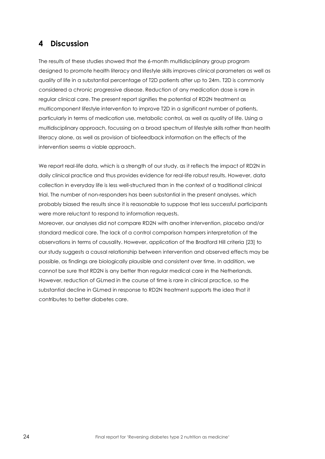# <span id="page-23-0"></span>**4 Discussion**

The results of these studies showed that the 6-month multidisciplinary group program designed to promote health literacy and lifestyle skills improves clinical parameters as well as quality of life in a substantial percentage of T2D patients after up to 24m. T2D is commonly considered a chronic progressive disease. Reduction of any medication dose is rare in regular clinical care. The present report signifies the potential of RD2N treatment as multicomponent lifestyle intervention to improve T2D in a significant number of patients, particularly in terms of medication use, metabolic control, as well as quality of life. Using a multidisciplinary approach, focussing on a broad spectrum of lifestyle skills rather than health literacy alone, as well as provision of biofeedback information on the effects of the intervention seems a viable approach.

We report real-life data, which is a strength of our study, as it reflects the impact of RD2N in daily clinical practice and thus provides evidence for real-life robust results. However, data collection in everyday life is less well-structured than in the context of a traditional clinical trial. The number of non-responders has been substantial in the present analyses, which probably biased the results since it is reasonable to suppose that less successful participants were more reluctant to respond to information requests.

Moreover, our analyses did not compare RD2N with another intervention, placebo and/or standard medical care. The lack of a control comparison hampers interpretation of the observations in terms of causality. However, application of the Bradford Hill criteria [23] to our study suggests a causal relationship between intervention and observed effects may be possible, as findings are biologically plausible and consistent over time. In addition, we cannot be sure that RD2N is any better than regular medical care in the Netherlands. However, reduction of GLmed in the course of time is rare in clinical practice, so the substantial decline in GLmed in response to RD2N treatment supports the idea that it contributes to better diabetes care.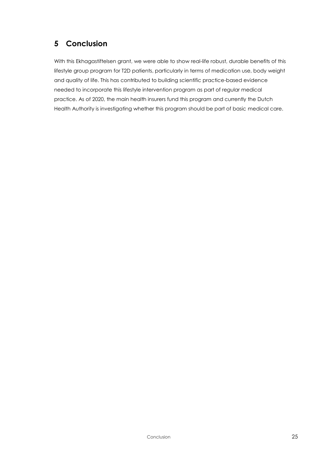# <span id="page-24-0"></span>**5 Conclusion**

With this Ekhagastiftelsen grant, we were able to show real-life robust, durable benefits of this lifestyle group program for T2D patients, particularly in terms of medication use, body weight and quality of life. This has contributed to building scientific practice-based evidence needed to incorporate this lifestyle intervention program as part of regular medical practice. As of 2020, the main health insurers fund this program and currently the Dutch Health Authority is investigating whether this program should be part of basic medical care.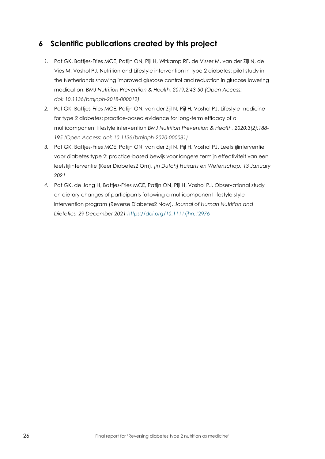# <span id="page-25-0"></span>**6 Scientific publications created by this project**

- *1.* Pot GK, Battjes-Fries MCE, Patijn ON, Pijl H, Witkamp RF, de Visser M, van der Zijl N, de Vies M, Voshol PJ. Nutrition and Lifestyle intervention in type 2 diabetes: pilot study in the Netherlands showing improved glucose control and reduction in glucose lowering medication. *BMJ Nutrition Prevention & Health, 2019;2;43-50 (Open Access: doi: 10.1136/bmjnph-2018-000012)*
- *2.* Pot GK, Battjes-Fries MCE, Patijn ON, van der Zijl N, Pijl H, Voshol PJ. Lifestyle medicine for type 2 diabetes: practice-based evidence for long-term efficacy of a multicomponent lifestyle intervention *BMJ Nutrition Prevention & Health, 2020;3(2):188- 195 (Open Access: doi: 10.1136/bmjnph-2020-000081)*
- *3.* Pot GK, Battjes-Fries MCE, Patijn ON, van der Zijl N, Pijl H, Voshol PJ. Leefstijlinterventie voor diabetes type 2: practice-based bewijs voor langere termijn effectiviteit van een leefstijlinterventie (Keer Diabetes2 Om). *[in Dutch] Huisarts en Wetenschap, 13 January 2021*
- *4.* Pot GK, de Jong H, Battjes-Fries MCE, Patijn ON, Pijl H, Voshol PJ. Observational study on dietary changes of participants following a multicomponent lifestyle style intervention program (Reverse Diabetes2 Now). *Journal of Human Nutrition and Dietetics, 29 December 2021<https://doi.org/10.1111/jhn.12976>*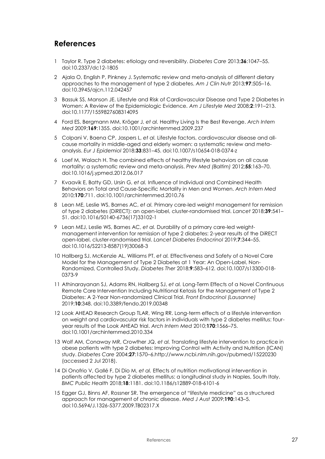### <span id="page-26-0"></span>**References**

- 1 Taylor R. Type 2 diabetes: etiology and reversibility. *Diabetes Care* 2013;**36**:1047–55. doi:10.2337/dc12-1805
- 2 Ajala O, English P, Pinkney J. Systematic review and meta-analysis of different dietary approaches to the management of type 2 diabetes. *Am J Clin Nutr* 2013;**97**:505–16. doi:10.3945/ajcn.112.042457
- 3 Bassuk SS, Manson JE. Lifestyle and Risk of Cardiovascular Disease and Type 2 Diabetes in Women: A Review of the Epidemiologic Evidence. *Am J Lifestyle Med* 2008;**2**:191–213. doi:10.1177/1559827608314095
- 4 Ford ES, Bergmann MM, Kröger J, *et al.* Healthy Living Is the Best Revenge. *Arch Intern Med* 2009;**169**:1355. doi:10.1001/archinternmed.2009.237
- 5 Colpani V, Baena CP, Jaspers L, *et al.* Lifestyle factors, cardiovascular disease and allcause mortality in middle-aged and elderly women: a systematic review and metaanalysis. *Eur J Epidemiol* 2018;**33**:831–45. doi:10.1007/s10654-018-0374-z
- 6 Loef M, Walach H. The combined effects of healthy lifestyle behaviors on all cause mortality: a systematic review and meta-analysis. *Prev Med (Baltim)* 2012;**55**:163–70. doi:10.1016/j.ypmed.2012.06.017
- 7 Kvaavik E, Batty GD, Ursin G, *et al.* Influence of Individual and Combined Health Behaviors on Total and Cause-Specific Mortality in Men and Women. *Arch Intern Med* 2010;**170**:711. doi:10.1001/archinternmed.2010.76
- 8 Lean ME, Leslie WS, Barnes AC, *et al.* Primary care-led weight management for remission of type 2 diabetes (DiRECT): an open-label, cluster-randomised trial. *Lancet* 2018;**39**:541– 51. doi:10.1016/S0140-6736(17)33102-1
- 9 Lean MEJ, Leslie WS, Barnes AC, *et al.* Durability of a primary care-led weightmanagement intervention for remission of type 2 diabetes: 2-year results of the DiRECT open-label, cluster-randomised trial. *Lancet Diabetes Endocrinol* 2019;**7**:344–55. doi:10.1016/S2213-8587(19)30068-3
- 10 Hallberg SJ, McKenzie AL, Williams PT, *et al.* Effectiveness and Safety of a Novel Care Model for the Management of Type 2 Diabetes at 1 Year: An Open-Label, Non-Randomized, Controlled Study. *Diabetes Ther* 2018;**9**:583–612. doi:10.1007/s13300-018- 0373-9
- 11 Athinarayanan SJ, Adams RN, Hallberg SJ, *et al.* Long-Term Effects of a Novel Continuous Remote Care Intervention Including Nutritional Ketosis for the Management of Type 2 Diabetes: A 2-Year Non-randomized Clinical Trial. *Front Endocrinol (Lausanne)* 2019;**10**:348. doi:10.3389/fendo.2019.00348
- 12 Look AHEAD Research Group TLAR, Wing RR. Long-term effects of a lifestyle intervention on weight and cardiovascular risk factors in individuals with type 2 diabetes mellitus: fouryear results of the Look AHEAD trial. *Arch Intern Med* 2010;**170**:1566–75. doi:10.1001/archinternmed.2010.334
- 13 Wolf AM, Conaway MR, Crowther JQ, *et al.* Translating lifestyle intervention to practice in obese patients with type 2 diabetes: Improving Control with Activity and Nutrition (ICAN) study. *Diabetes Care* 2004;**27**:1570–6.http://www.ncbi.nlm.nih.gov/pubmed/15220230 (accessed 2 Jul 2018).
- 14 Di Onofrio V, Gallé F, Di Dio M, *et al.* Effects of nutrition motivational intervention in patients affected by type 2 diabetes mellitus: a longitudinal study in Naples, South Italy. *BMC Public Health* 2018;**18**:1181. doi:10.1186/s12889-018-6101-6
- 15 Egger GJ, Binns AF, Rossner SR. The emergence of "lifestyle medicine" as a structured approach for management of chronic disease. *Med J Aust* 2009;**190**:143–5. doi:10.5694/J.1326-5377.2009.TB02317.X